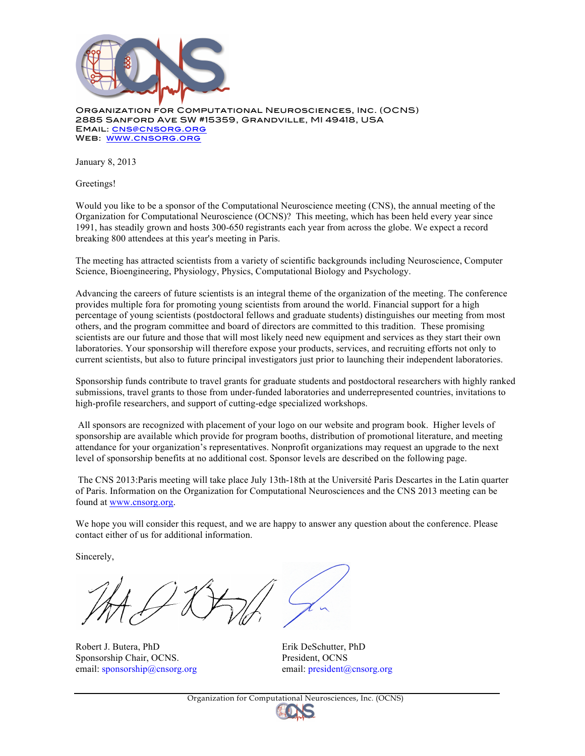

Organization for Computational Neurosciences, Inc. (OCNS) 2885 Sanford Ave SW #15359, Grandville, MI 49418, USA Email: cns@cnsorg.org Web: www.cnsorg.org

January 8, 2013

Greetings!

Would you like to be a sponsor of the Computational Neuroscience meeting (CNS), the annual meeting of the Organization for Computational Neuroscience (OCNS)? This meeting, which has been held every year since 1991, has steadily grown and hosts 300-650 registrants each year from across the globe. We expect a record breaking 800 attendees at this year's meeting in Paris.

The meeting has attracted scientists from a variety of scientific backgrounds including Neuroscience, Computer Science, Bioengineering, Physiology, Physics, Computational Biology and Psychology.

Advancing the careers of future scientists is an integral theme of the organization of the meeting. The conference provides multiple fora for promoting young scientists from around the world. Financial support for a high percentage of young scientists (postdoctoral fellows and graduate students) distinguishes our meeting from most others, and the program committee and board of directors are committed to this tradition. These promising scientists are our future and those that will most likely need new equipment and services as they start their own laboratories. Your sponsorship will therefore expose your products, services, and recruiting efforts not only to current scientists, but also to future principal investigators just prior to launching their independent laboratories.

Sponsorship funds contribute to travel grants for graduate students and postdoctoral researchers with highly ranked submissions, travel grants to those from under-funded laboratories and underrepresented countries, invitations to high-profile researchers, and support of cutting-edge specialized workshops.

All sponsors are recognized with placement of your logo on our website and program book. Higher levels of sponsorship are available which provide for program booths, distribution of promotional literature, and meeting attendance for your organization's representatives. Nonprofit organizations may request an upgrade to the next level of sponsorship benefits at no additional cost. Sponsor levels are described on the following page.

The CNS 2013:Paris meeting will take place July 13th-18th at the Université Paris Descartes in the Latin quarter of Paris. Information on the Organization for Computational Neurosciences and the CNS 2013 meeting can be found at www.cnsorg.org.

We hope you will consider this request, and we are happy to answer any question about the conference. Please contact either of us for additional information.

Sincerely,

Robert J. Butera, PhD Erik DeSchutter, PhD Sponsorship Chair, OCNS. President, OCNS email: sponsorship@cnsorg.org email: president@cnsorg.org